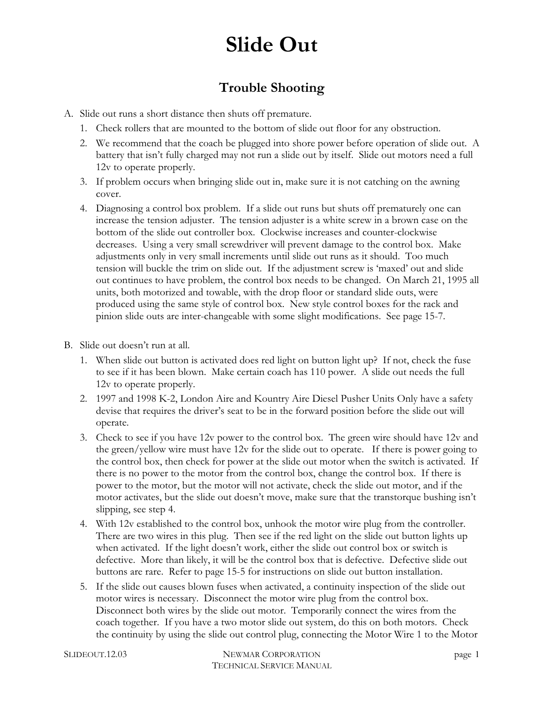### **Trouble Shooting**

- A. Slide out runs a short distance then shuts off premature.
	- 1. Check rollers that are mounted to the bottom of slide out floor for any obstruction.
	- 2. We recommend that the coach be plugged into shore power before operation of slide out. A battery that isn't fully charged may not run a slide out by itself. Slide out motors need a full 12v to operate properly.
	- 3. If problem occurs when bringing slide out in, make sure it is not catching on the awning cover.
	- 4. Diagnosing a control box problem. If a slide out runs but shuts off prematurely one can increase the tension adjuster. The tension adjuster is a white screw in a brown case on the bottom of the slide out controller box. Clockwise increases and counter-clockwise decreases. Using a very small screwdriver will prevent damage to the control box. Make adjustments only in very small increments until slide out runs as it should. Too much tension will buckle the trim on slide out. If the adjustment screw is 'maxed' out and slide out continues to have problem, the control box needs to be changed. On March 21, 1995 all units, both motorized and towable, with the drop floor or standard slide outs, were produced using the same style of control box. New style control boxes for the rack and pinion slide outs are inter-changeable with some slight modifications. See page 15-7.
- B. Slide out doesn't run at all.
	- 1. When slide out button is activated does red light on button light up? If not, check the fuse to see if it has been blown. Make certain coach has 110 power. A slide out needs the full 12v to operate properly.
	- 2. 1997 and 1998 K-2, London Aire and Kountry Aire Diesel Pusher Units Only have a safety devise that requires the driver's seat to be in the forward position before the slide out will operate.
	- 3. Check to see if you have 12v power to the control box. The green wire should have 12v and the green/yellow wire must have 12v for the slide out to operate. If there is power going to the control box, then check for power at the slide out motor when the switch is activated. If there is no power to the motor from the control box, change the control box. If there is power to the motor, but the motor will not activate, check the slide out motor, and if the motor activates, but the slide out doesn't move, make sure that the transtorque bushing isn't slipping, see step 4.
	- 4. With 12v established to the control box, unhook the motor wire plug from the controller. There are two wires in this plug. Then see if the red light on the slide out button lights up when activated. If the light doesn't work, either the slide out control box or switch is defective. More than likely, it will be the control box that is defective. Defective slide out buttons are rare. Refer to page 15-5 for instructions on slide out button installation.
	- 5. If the slide out causes blown fuses when activated, a continuity inspection of the slide out motor wires is necessary. Disconnect the motor wire plug from the control box. Disconnect both wires by the slide out motor. Temporarily connect the wires from the coach together. If you have a two motor slide out system, do this on both motors. Check the continuity by using the slide out control plug, connecting the Motor Wire 1 to the Motor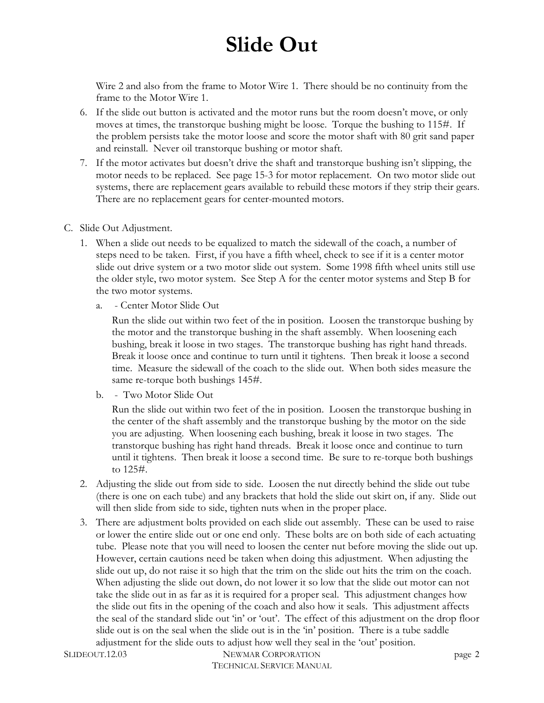Wire 2 and also from the frame to Motor Wire 1. There should be no continuity from the frame to the Motor Wire 1.

- 6. If the slide out button is activated and the motor runs but the room doesn't move, or only moves at times, the transtorque bushing might be loose. Torque the bushing to 115#. If the problem persists take the motor loose and score the motor shaft with 80 grit sand paper and reinstall. Never oil transtorque bushing or motor shaft.
- 7. If the motor activates but doesn't drive the shaft and transtorque bushing isn't slipping, the motor needs to be replaced. See page 15-3 for motor replacement. On two motor slide out systems, there are replacement gears available to rebuild these motors if they strip their gears. There are no replacement gears for center-mounted motors.
- C. Slide Out Adjustment.
	- 1. When a slide out needs to be equalized to match the sidewall of the coach, a number of steps need to be taken. First, if you have a fifth wheel, check to see if it is a center motor slide out drive system or a two motor slide out system. Some 1998 fifth wheel units still use the older style, two motor system. See Step A for the center motor systems and Step B for the two motor systems.
		- a. Center Motor Slide Out

Run the slide out within two feet of the in position. Loosen the transtorque bushing by the motor and the transtorque bushing in the shaft assembly. When loosening each bushing, break it loose in two stages. The transtorque bushing has right hand threads. Break it loose once and continue to turn until it tightens. Then break it loose a second time. Measure the sidewall of the coach to the slide out. When both sides measure the same re-torque both bushings 145#.

b. - Two Motor Slide Out

Run the slide out within two feet of the in position. Loosen the transtorque bushing in the center of the shaft assembly and the transtorque bushing by the motor on the side you are adjusting. When loosening each bushing, break it loose in two stages. The transtorque bushing has right hand threads. Break it loose once and continue to turn until it tightens. Then break it loose a second time. Be sure to re-torque both bushings to 125#.

- 2. Adjusting the slide out from side to side. Loosen the nut directly behind the slide out tube (there is one on each tube) and any brackets that hold the slide out skirt on, if any. Slide out will then slide from side to side, tighten nuts when in the proper place.
- 3. There are adjustment bolts provided on each slide out assembly. These can be used to raise or lower the entire slide out or one end only. These bolts are on both side of each actuating tube. Please note that you will need to loosen the center nut before moving the slide out up. However, certain cautions need be taken when doing this adjustment. When adjusting the slide out up, do not raise it so high that the trim on the slide out hits the trim on the coach. When adjusting the slide out down, do not lower it so low that the slide out motor can not take the slide out in as far as it is required for a proper seal. This adjustment changes how the slide out fits in the opening of the coach and also how it seals. This adjustment affects the seal of the standard slide out 'in' or 'out'. The effect of this adjustment on the drop floor slide out is on the seal when the slide out is in the 'in' position. There is a tube saddle adjustment for the slide outs to adjust how well they seal in the 'out' position.

SLIDEOUT.12.03 NEWMAR CORPORATION TECHNICAL SERVICE MANUAL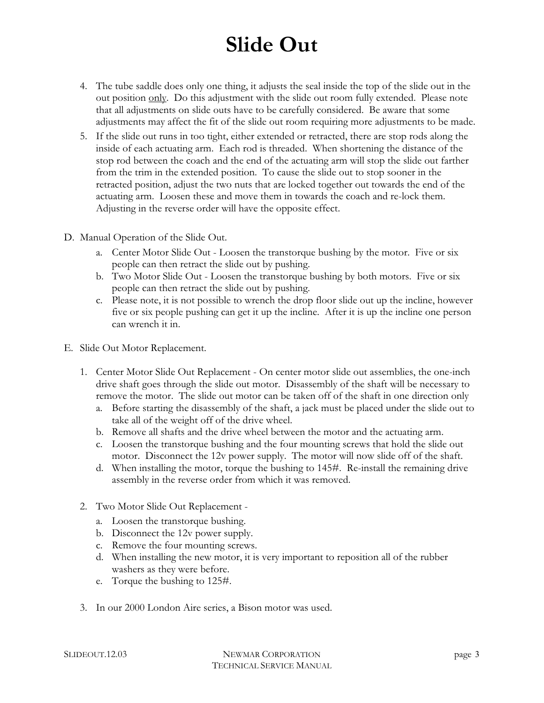- 4. The tube saddle does only one thing, it adjusts the seal inside the top of the slide out in the out position only. Do this adjustment with the slide out room fully extended. Please note that all adjustments on slide outs have to be carefully considered. Be aware that some adjustments may affect the fit of the slide out room requiring more adjustments to be made.
- 5. If the slide out runs in too tight, either extended or retracted, there are stop rods along the inside of each actuating arm. Each rod is threaded. When shortening the distance of the stop rod between the coach and the end of the actuating arm will stop the slide out farther from the trim in the extended position. To cause the slide out to stop sooner in the retracted position, adjust the two nuts that are locked together out towards the end of the actuating arm. Loosen these and move them in towards the coach and re-lock them. Adjusting in the reverse order will have the opposite effect.
- D. Manual Operation of the Slide Out.
	- a. Center Motor Slide Out Loosen the transtorque bushing by the motor. Five or six people can then retract the slide out by pushing.
	- b. Two Motor Slide Out Loosen the transtorque bushing by both motors. Five or six people can then retract the slide out by pushing.
	- c. Please note, it is not possible to wrench the drop floor slide out up the incline, however five or six people pushing can get it up the incline. After it is up the incline one person can wrench it in.
- E. Slide Out Motor Replacement.
	- 1. Center Motor Slide Out Replacement On center motor slide out assemblies, the one-inch drive shaft goes through the slide out motor. Disassembly of the shaft will be necessary to remove the motor. The slide out motor can be taken off of the shaft in one direction only
		- a. Before starting the disassembly of the shaft, a jack must be placed under the slide out to take all of the weight off of the drive wheel.
		- b. Remove all shafts and the drive wheel between the motor and the actuating arm.
		- c. Loosen the transtorque bushing and the four mounting screws that hold the slide out motor. Disconnect the 12v power supply. The motor will now slide off of the shaft.
		- d. When installing the motor, torque the bushing to 145#. Re-install the remaining drive assembly in the reverse order from which it was removed.
	- 2. Two Motor Slide Out Replacement
		- a. Loosen the transtorque bushing.
		- b. Disconnect the 12v power supply.
		- c. Remove the four mounting screws.
		- d. When installing the new motor, it is very important to reposition all of the rubber washers as they were before.
		- e. Torque the bushing to 125#.
	- 3. In our 2000 London Aire series, a Bison motor was used.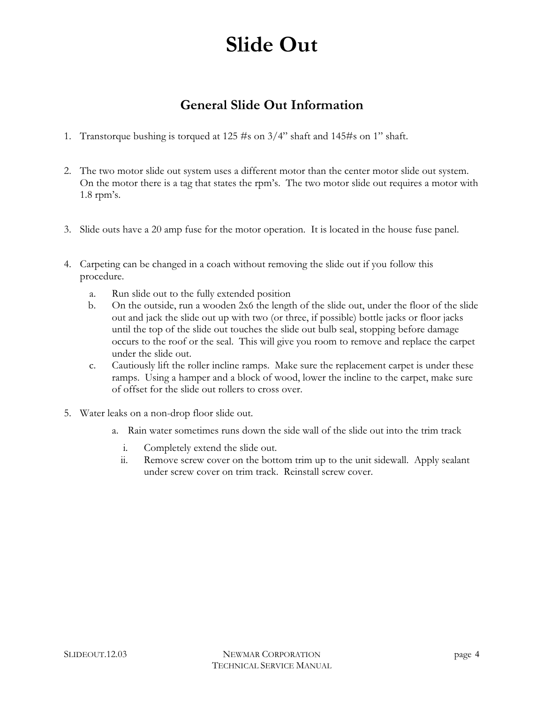#### **General Slide Out Information**

- 1. Transtorque bushing is torqued at 125 #s on 3/4" shaft and 145#s on 1" shaft.
- 2. The two motor slide out system uses a different motor than the center motor slide out system. On the motor there is a tag that states the rpm's. The two motor slide out requires a motor with 1.8 rpm's.
- 3. Slide outs have a 20 amp fuse for the motor operation. It is located in the house fuse panel.
- 4. Carpeting can be changed in a coach without removing the slide out if you follow this procedure.
	- a. Run slide out to the fully extended position
	- b. On the outside, run a wooden 2x6 the length of the slide out, under the floor of the slide out and jack the slide out up with two (or three, if possible) bottle jacks or floor jacks until the top of the slide out touches the slide out bulb seal, stopping before damage occurs to the roof or the seal. This will give you room to remove and replace the carpet under the slide out.
	- c. Cautiously lift the roller incline ramps. Make sure the replacement carpet is under these ramps. Using a hamper and a block of wood, lower the incline to the carpet, make sure of offset for the slide out rollers to cross over.
- 5. Water leaks on a non-drop floor slide out.
	- a. Rain water sometimes runs down the side wall of the slide out into the trim track
		- i. Completely extend the slide out.
		- ii. Remove screw cover on the bottom trim up to the unit sidewall. Apply sealant under screw cover on trim track. Reinstall screw cover.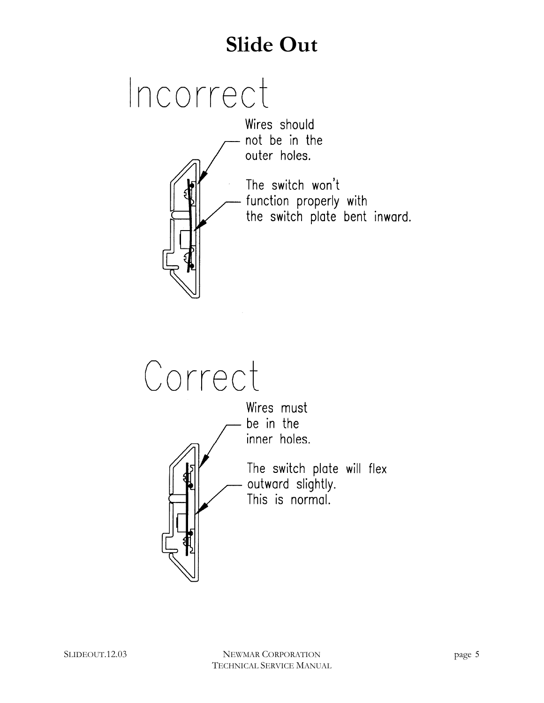# Incorrect

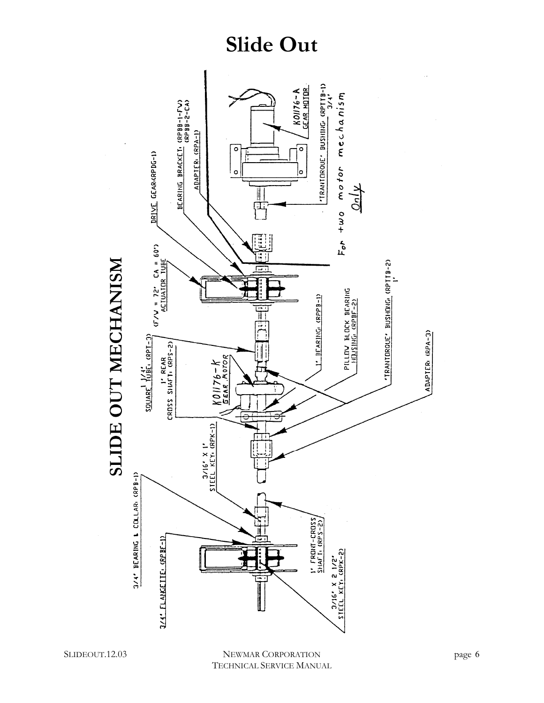

**SLIDE OUT MECHANISM**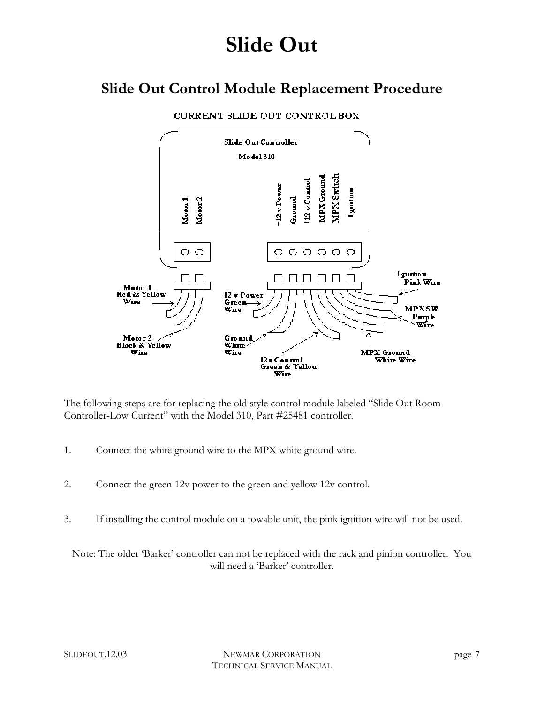### **Slide Out Control Module Replacement Procedure**



CURRENT SLIDE OUT CONTROL BOX

The following steps are for replacing the old style control module labeled "Slide Out Room Controller-Low Current" with the Model 310, Part #25481 controller.

- 1. Connect the white ground wire to the MPX white ground wire.
- 2. Connect the green 12v power to the green and yellow 12v control.
- 3. If installing the control module on a towable unit, the pink ignition wire will not be used.

Note: The older 'Barker' controller can not be replaced with the rack and pinion controller. You will need a 'Barker' controller.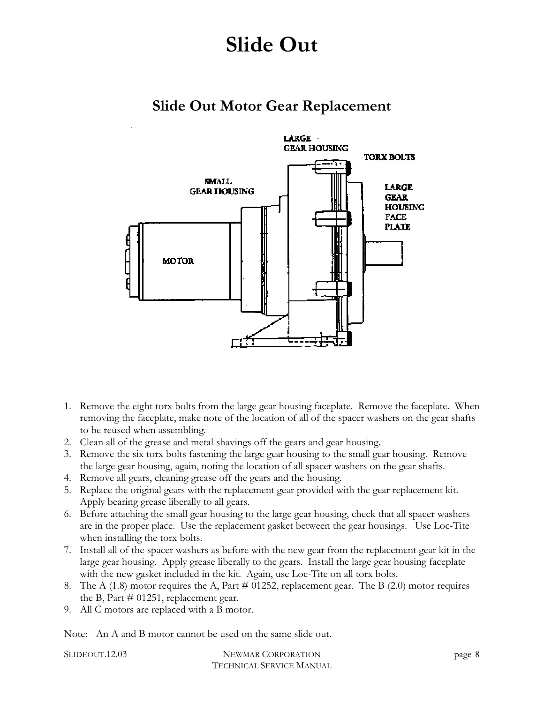### **Slide Out Motor Gear Replacement**



- 1. Remove the eight torx bolts from the large gear housing faceplate. Remove the faceplate. When removing the faceplate, make note of the location of all of the spacer washers on the gear shafts to be reused when assembling.
- 2. Clean all of the grease and metal shavings off the gears and gear housing.
- 3. Remove the six torx bolts fastening the large gear housing to the small gear housing. Remove the large gear housing, again, noting the location of all spacer washers on the gear shafts.
- 4. Remove all gears, cleaning grease off the gears and the housing.
- 5. Replace the original gears with the replacement gear provided with the gear replacement kit. Apply bearing grease liberally to all gears.
- 6. Before attaching the small gear housing to the large gear housing, check that all spacer washers are in the proper place. Use the replacement gasket between the gear housings. Use Loc-Tite when installing the torx bolts.
- 7. Install all of the spacer washers as before with the new gear from the replacement gear kit in the large gear housing. Apply grease liberally to the gears. Install the large gear housing faceplate with the new gasket included in the kit. Again, use Loc-Tite on all torx bolts.
- 8. The A  $(1.8)$  motor requires the A, Part # 01252, replacement gear. The B  $(2.0)$  motor requires the B, Part  $\#$  01251, replacement gear.
- 9. All C motors are replaced with a B motor.

Note: An A and B motor cannot be used on the same slide out.